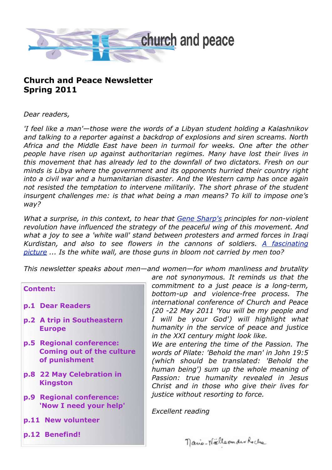

# **Church and Peace Newsletter Spring 2011**

*Dear readers,*

*'I feel like a man'—those were the words of a Libyan student holding a Kalashnikov and talking to a reporter against a backdrop of explosions and siren screams. North Africa and the Middle East have been in turmoil for weeks. One after the other people have risen up against authoritarian regimes. Many have lost their lives in this movement that has already led to the downfall of two dictators. Fresh on our minds is Libya where the government and its opponents hurried their country right into a civil war and a humanitarian disaster. And the Western camp has once again not resisted the temptation to intervene militarily. The short phrase of the student insurgent challenges me: is that what being a man means? To kill to impose one's way?*

*What a surprise, in this context, to hear that [Gene Sharp's](http://de.wikipedia.org/wiki/Gene_Sharp) principles for non-violent revolution have influenced the strategy of the peaceful wing of this movement. And what a joy to see a 'white wall' stand between protesters and armed forces in Iraqi Kurdistan, and also to see flowers in the cannons of soldiers. [A fascinating](http://picasaweb.google.com/cptiraq.team) [picture](http://picasaweb.google.com/cptiraq.team) ... Is the white wall, are those guns in bloom not carried by men too?*

*This newsletter speaks about men—and women—for whom manliness and brutality* 

**Content:**

- **p.1 Dear Readers**
- **p.2 A trip in Southeastern Europe**
- **p.5 Regional conference: Coming out of the culture of punishment**
- **p.8 22 May Celebration in Kingston**
- **p.9 Regional conference: 'Now I need your help'**
- **p.11 New volunteer**
- **p.12 Benefind!**

*are not synonymous. It reminds us that the commitment to a just peace is a long-term, bottom-up and violence-free process. The international conference of Church and Peace (20 -22 May 2011 'You will be my people and I will be your God') will highlight what humanity in the service of peace and justice in the XXI century might look like.*

*We are entering the time of the Passion. The words of Pilate: 'Behold the man' in John 19:5 (which should be translated: 'Behold the human being') sum up the whole meaning of Passion: true humanity revealed in Jesus Christ and in those who give their lives for justice without resorting to force.*

*Excellent reading*

nano-Nällerman Rocke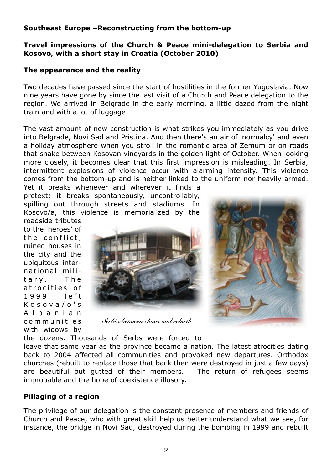# **Southeast Europe –Reconstructing from the bottom-up**

### **Travel impressions of the Church & Peace mini-delegation to Serbia and Kosovo, with a short stay in Croatia (October 2010)**

### **The appearance and the reality**

Two decades have passed since the start of hostilities in the former Yugoslavia. Now nine years have gone by since the last visit of a Church and Peace delegation to the region. We arrived in Belgrade in the early morning, a little dazed from the night train and with a lot of luggage

The vast amount of new construction is what strikes you immediately as you drive into Belgrade, Novi Sad and Pristina. And then there's an air of 'normalcy' and even a holiday atmosphere when you stroll in the romantic area of Zemum or on roads that snake between Kosovan vineyards in the golden light of October. When looking more closely, it becomes clear that this first impression is misleading. In Serbia, intermittent explosions of violence occur with alarming intensity. This violence comes from the bottom-up and is neither linked to the uniform nor heavily armed.

Yet it breaks whenever and wherever it finds a pretext; it breaks spontaneously, uncontrollably, spilling out through streets and stadiums. In Kosovo/a, this violence is memorialized by the

roadside tributes to the 'heroes' of the conflict, ruined houses in the city and the ubiquitous interna tional mili tary. The atrocities of 1999 left K o s o v a / o ' s A l b a n i a n c o m m u n i t i e s with widows by



*Serbia between chaos and rebirth*



the dozens. Thousands of Serbs were forced to

leave that same year as the province became a nation. The latest atrocities dating back to 2004 affected all communities and provoked new departures. Orthodox churches (rebuilt to replace those that back then were destroyed in just a few days) are beautiful but gutted of their members. The return of refugees seems improbable and the hope of coexistence illusory.

# **Pillaging of a region**

The privilege of our delegation is the constant presence of members and friends of Church and Peace, who with great skill help us better understand what we see, for instance, the bridge in Novi Sad, destroyed during the bombing in 1999 and rebuilt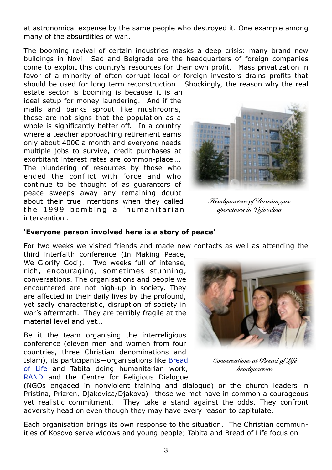at astronomical expense by the same people who destroyed it. One example among many of the absurdities of war...

The booming revival of certain industries masks a deep crisis: many brand new buildings in Novi Sad and Belgrade are the headquarters of foreign companies come to exploit this country's resources for their own profit. Mass privatization in favor of a minority of often corrupt local or foreign investors drains profits that should be used for long term reconstruction. Shockingly, the reason why the real

estate sector is booming is because it is an ideal setup for money laundering. And if the malls and banks sprout like mushrooms, these are not signs that the population as a whole is significantly better off. In a country where a teacher approaching retirement earns only about 400€ a month and everyone needs multiple jobs to survive, credit purchases at exorbitant interest rates are common-place…. The plundering of resources by those who ended the conflict with force and who continue to be thought of as guarantors of peace sweeps away any remaining doubt about their true intentions when they called the 1999 bombing a 'humanitarian intervention'.



*Headquarters of Russian gas operations in Vojvodina*

#### **'Everyone person involved here is a story of peace'**

For two weeks we visited friends and made new contacts as well as attending the

third interfaith conference (In Making Peace, We Glorify God'). Two weeks full of intense, rich, encouraging, sometimes stunning, conversations. The organisations and people we encountered are not high-up in society. They are affected in their daily lives by the profound, yet sadly characteristic, disruption of society in war's aftermath. They are terribly fragile at the material level and yet…

Be it the team organising the interreligious conference (eleven men and women from four countries, three Christian denominations and Islam), its participants—organisations like Bread [of Life](http://www.breadoflife.org.rs/mission-vision-values.php?l=en) and Tabita doing humanitarian work, [RAND](http://www.rand.hr) and the Centre for Religious Dialogue



*Conversations at Bread of Life headquarters*

(NGOs engaged in nonviolent training and dialogue) or the church leaders in Pristina, Prizren, Djakovica/Djakova)—those we met have in common a courageous yet realistic commitment. They take a stand against the odds. They confront adversity head on even though they may have every reason to capitulate.

Each organisation brings its own response to the situation. The Christian communities of Kosovo serve widows and young people; Tabita and Bread of Life focus on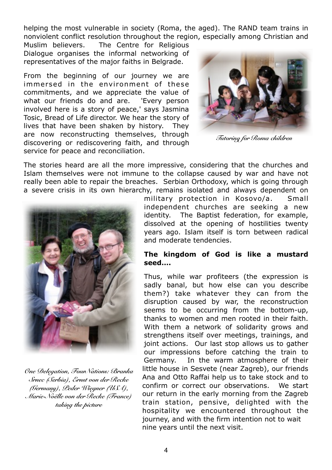helping the most vulnerable in society (Roma, the aged). The RAND team trains in nonviolent conflict resolution throughout the region, especially among Christian and

Muslim believers. The Centre for Religious Dialogue organises the informal networking of representatives of the major faiths in Belgrade.

From the beginning of our journey we are immersed in the environment of these commitments, and we appreciate the value of what our friends do and are. 'Every person involved here is a story of peace,' says Jasmina Tosic, Bread of Life director. We hear the story of lives that have been shaken by history. They are now reconstructing themselves, through discovering or rediscovering faith, and through service for peace and reconciliation.



*Tutoring for Roma children*

The stories heard are all the more impressive, considering that the churches and Islam themselves were not immune to the collapse caused by war and have not really been able to repair the breaches. Serbian Orthodoxy, which is going through a severe crisis in its own hierarchy, remains isolated and always dependent on



*One Delegation, FourNations: Branka Srnec (Serbia), Ernst von der Recke (Germany), Peder Wiegner (USA), Marie-Noëlle von der Recke (France) taking the picture*

military protection in Kosovo/a. Small independent churches are seeking a new identity. The Baptist federation, for example, dissolved at the opening of hostilities twenty years ago. Islam itself is torn between radical and moderate tendencies.

### **The kingdom of God is like a mustard seed….**

Thus, while war profiteers (the expression is sadly banal, but how else can you describe them?) take whatever they can from the disruption caused by war, the reconstruction seems to be occurring from the bottom-up, thanks to women and men rooted in their faith. With them a network of solidarity grows and strengthens itself over meetings, trainings, and joint actions. Our last stop allows us to gather our impressions before catching the train to Germany. In the warm atmosphere of their little house in Sesvete (near Zagreb), our friends Ana and Otto Raffai help us to take stock and to confirm or correct our observations. We start our return in the early morning from the Zagreb train station, pensive, delighted with the hospitality we encountered throughout the journey, and with the firm intention not to wait nine years until the next visit.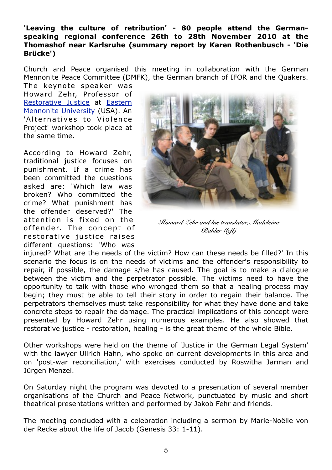**'Leaving the culture of retribution' - 80 people attend the Germanspeaking regional conference 26th to 28th November 2010 at the Thomashof near Karlsruhe (summary report by Karen Rothenbusch - 'Die Brücke')**

Church and Peace organised this meeting in collaboration with the German Mennonite Peace Committee (DMFK), the German branch of IFOR and the Quakers.

The keynote speaker was Howard Zehr, Professor of [Restorative Justice](http://en.wikipedia.org/?title=Restorative_justice) at [Eastern](http://www.emu.edu/) [Mennonite University](http://www.emu.edu/) (USA). An 'Alternatives to Violence Project' workshop took place at the same time.

According to Howard Zehr, traditional justice focuses on punishment. If a crime has been committed the questions asked are: 'Which law was broken? Who committed the crime? What punishment has the offender deserved?' The attention is fixed on the offender. The concept of restorative justice raises different questions: 'Who was



*Howard Zehr and his translator, Madeleine Bähler (left)*

injured? What are the needs of the victim? How can these needs be filled?' In this scenario the focus is on the needs of victims and the offender's responsibility to repair, if possible, the damage s/he has caused. The goal is to make a dialogue between the victim and the perpetrator possible. The victims need to have the opportunity to talk with those who wronged them so that a healing process may begin; they must be able to tell their story in order to regain their balance. The perpetrators themselves must take responsibility for what they have done and take concrete steps to repair the damage. The practical implications of this concept were presented by Howard Zehr using numerous examples. He also showed that restorative justice - restoration, healing - is the great theme of the whole Bible.

Other workshops were held on the theme of 'Justice in the German Legal System' with the lawyer Ullrich Hahn, who spoke on current developments in this area and on 'post-war reconciliation,' with exercises conducted by Roswitha Jarman and Jürgen Menzel.

On Saturday night the program was devoted to a presentation of several member organisations of the Church and Peace Network, punctuated by music and short theatrical presentations written and performed by Jakob Fehr and friends.

The meeting concluded with a celebration including a sermon by Marie-Noëlle von der Recke about the life of Jacob (Genesis 33: 1-11).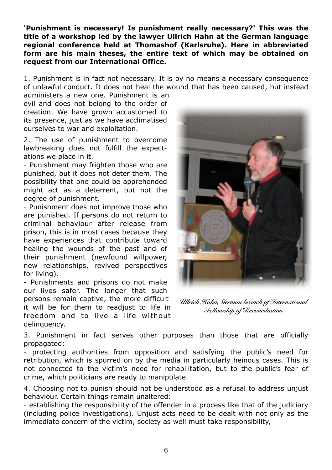**'Punishment is necessary! Is punishment really necessary?' This was the title of a workshop led by the lawyer Ullrich Hahn at the German language regional conference held at Thomashof (Karlsruhe). Here in abbreviated form are his main theses, the entire text of which may be obtained on request from our International Office.** 

1. Punishment is in fact not necessary. It is by no means a necessary consequence of unlawful conduct. It does not heal the wound that has been caused, but instead

administers a new one. Punishment is an evil and does not belong to the order of creation. We have grown accustomed to its presence, just as we have acclimatised ourselves to war and exploitation.

2. The use of punishment to overcome lawbreaking does not fulfill the expectations we place in it.

- Punishment may frighten those who are punished, but it does not deter them. The possibility that one could be apprehended might act as a deterrent, but not the degree of punishment.

- Punishment does not improve those who are punished. If persons do not return to criminal behaviour after release from prison, this is in most cases because they have experiences that contribute toward healing the wounds of the past and of their punishment (newfound willpower, new relationships, revived perspectives for living).

- Punishments and prisons do not make our lives safer. The longer that such persons remain captive, the more difficult it will be for them to readjust to life in freedom and to live a life without delinquency.



*Ullrich Hahn, German branch of International Fellowship of Reconciliation*

3. Punishment in fact serves other purposes than those that are officially propagated:

- protecting authorities from opposition and satisfying the public's need for retribution, which is spurred on by the media in particularly heinous cases. This is not connected to the victim's need for rehabilitation, but to the public's fear of crime, which politicians are ready to manipulate.

4. Choosing not to punish should not be understood as a refusal to address unjust behaviour. Certain things remain unaltered:

- establishing the responsibility of the offender in a process like that of the judiciary (including police investigations). Unjust acts need to be dealt with not only as the immediate concern of the victim, society as well must take responsibility,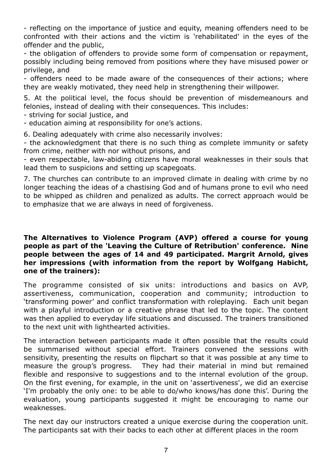- reflecting on the importance of justice and equity, meaning offenders need to be confronted with their actions and the victim is 'rehabilitated' in the eyes of the offender and the public,

- the obligation of offenders to provide some form of compensation or repayment, possibly including being removed from positions where they have misused power or privilege, and

- offenders need to be made aware of the consequences of their actions; where they are weakly motivated, they need help in strengthening their willpower.

5. At the political level, the focus should be prevention of misdemeanours and felonies, instead of dealing with their consequences. This includes:

- striving for social justice, and

- education aiming at responsibility for one's actions.

6. Dealing adequately with crime also necessarily involves:

- the acknowledgment that there is no such thing as complete immunity or safety from crime, neither with nor without prisons, and

- even respectable, law-abiding citizens have moral weaknesses in their souls that lead them to suspicions and setting up scapegoats.

7. The churches can contribute to an improved climate in dealing with crime by no longer teaching the ideas of a chastising God and of humans prone to evil who need to be whipped as children and penalized as adults. The correct approach would be to emphasize that we are always in need of forgiveness.

#### **The Alternatives to Violence Program (AVP) offered a course for young people as part of the 'Leaving the Culture of Retribution' conference. Nine people between the ages of 14 and 49 participated. Margrit Arnold, gives her impressions (with information from the report by Wolfgang Habicht, one of the trainers):**

The programme consisted of six units: introductions and basics on AVP, assertiveness, communication, cooperation and community; introduction to 'transforming power' and conflict transformation with roleplaying. Each unit began with a playful introduction or a creative phrase that led to the topic. The content was then applied to everyday life situations and discussed. The trainers transitioned to the next unit with lighthearted activities.

The interaction between participants made it often possible that the results could be summarised without special effort. Trainers convened the sessions with sensitivity, presenting the results on flipchart so that it was possible at any time to measure the group's progress. They had their material in mind but remained flexible and responsive to suggestions and to the internal evolution of the group. On the first evening, for example, in the unit on 'assertiveness', we did an exercise 'I'm probably the only one: to be able to do/who knows/has done this'. During the evaluation, young participants suggested it might be encouraging to name our weaknesses.

The next day our instructors created a unique exercise during the cooperation unit. The participants sat with their backs to each other at different places in the room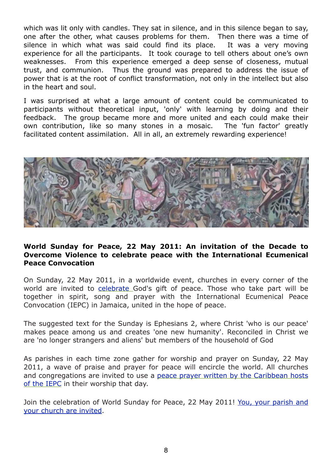which was lit only with candles. They sat in silence, and in this silence began to say, one after the other, what causes problems for them. Then there was a time of silence in which what was said could find its place. It was a very moving experience for all the participants. It took courage to tell others about one's own weaknesses. From this experience emerged a deep sense of closeness, mutual trust, and communion. Thus the ground was prepared to address the issue of power that is at the root of conflict transformation, not only in the intellect but also in the heart and soul.

I was surprised at what a large amount of content could be communicated to participants without theoretical input, 'only' with learning by doing and their feedback. The group became more and more united and each could make their own contribution, like so many stones in a mosaic. The 'fun factor' greatly facilitated content assimilation. All in all, an extremely rewarding experience!



#### **World Sunday for Peace, 22 May 2011: An invitation of the Decade to Overcome Violence to celebrate peace with the International Ecumenical Peace Convocation**

On Sunday, 22 May 2011, in a worldwide event, churches in every corner of the world are invited to [celebrate G](http://www.overcomingviolence.org/en/peace-convocation/world-sunday-for-peace/celebration.html)od's gift of peace. Those who take part will be together in spirit, song and prayer with the International Ecumenical Peace Convocation (IEPC) in Jamaica, united in the hope of peace.

The suggested text for the Sunday is Ephesians 2, where Christ 'who is our peace' makes peace among us and creates 'one new humanity'. Reconciled in Christ we are 'no longer strangers and aliens' but members of the household of God

As parishes in each time zone gather for worship and prayer on Sunday, 22 May 2011, a wave of praise and prayer for peace will encircle the world. All churches and congregations are invited to use a [peace prayer written by the Caribbean hosts](http://www.overcomingviolence.org/en/peace-convocation/world-sunday-for-peace/prayer.html) [of the IEPC](http://www.overcomingviolence.org/en/peace-convocation/world-sunday-for-peace/prayer.html) in their worship that day.

Join the celebration of World Sunday for Peace, 22 May 2011! [You, your parish and](http://www.overcomingviolence.org/en/peace-convocation/world-sunday-for-peace.html) [your church are invited.](http://www.overcomingviolence.org/en/peace-convocation/world-sunday-for-peace.html)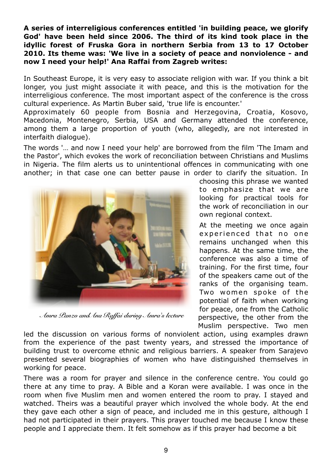**A series of interreligious conferences entitled 'in building peace, we glorify God' have been held since 2006. The third of its kind took place in the idyllic forest of Fruska Gora in northern Serbia from 13 to 17 October 2010. Its theme was: 'We live in a society of peace and nonviolence - and now I need your help!' Ana Raffai from Zagreb writes:**

In Southeast Europe, it is very easy to associate religion with war. If you think a bit longer, you just might associate it with peace, and this is the motivation for the interreligious conference. The most important aspect of the conference is the cross cultural experience. As Martin Buber said, 'true life is encounter.'

Approximately 60 people from Bosnia and Herzegovina, Croatia, Kosovo, Macedonia, Montenegro, Serbia, USA and Germany attended the conference, among them a large proportion of youth (who, allegedly, are not interested in interfaith dialogue).

The words '… and now I need your help' are borrowed from the film 'The Imam and the Pastor', which evokes the work of reconciliation between Christians and Muslims in Nigeria. The film alerts us to unintentional offences in communicating with one another; in that case one can better pause in order to clarify the situation. In



*Amra Panzo andAna Raffai during Amra's lecture*

choosing this phrase we wanted to emphasize that we are looking for practical tools for the work of reconciliation in our own regional context.

At the meeting we once again experienced that no one remains unchanged when this happens. At the same time, the conference was also a time of training. For the first time, four of the speakers came out of the ranks of the organising team. Two women spoke of the potential of faith when working for peace, one from the Catholic perspective, the other from the Muslim perspective. Two men

led the discussion on various forms of nonviolent action, using examples drawn from the experience of the past twenty years, and stressed the importance of building trust to overcome ethnic and religious barriers. A speaker from Sarajevo presented several biographies of women who have distinguished themselves in working for peace.

There was a room for prayer and silence in the conference centre. You could go there at any time to pray. A Bible and a Koran were available. I was once in the room when five Muslim men and women entered the room to pray. I stayed and watched. Theirs was a beautiful prayer which involved the whole body. At the end they gave each other a sign of peace, and included me in this gesture, although I had not participated in their prayers. This prayer touched me because I know these people and I appreciate them. It felt somehow as if this prayer had become a bit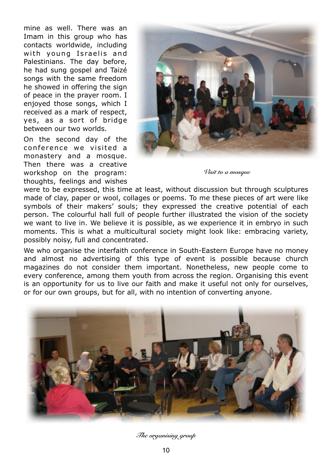mine as well. There was an Imam in this group who has contacts worldwide, including with young Israelis and Palestinians. The day before, he had sung gospel and Taizé songs with the same freedom he showed in offering the sign of peace in the prayer room. I enjoyed those songs, which I received as a mark of respect, yes, as a sort of bridge between our two worlds.

On the second day of the conference we visited a monastery and a mosque. Then there was a creative workshop on the program: thoughts, feelings and wishes



*Visit to a mosque*

were to be expressed, this time at least, without discussion but through sculptures made of clay, paper or wool, collages or poems. To me these pieces of art were like symbols of their makers' souls; they expressed the creative potential of each person. The colourful hall full of people further illustrated the vision of the society we want to live in. We believe it is possible, as we experience it in embryo in such moments. This is what a multicultural society might look like: embracing variety, possibly noisy, full and concentrated.

We who organise the interfaith conference in South-Eastern Europe have no money and almost no advertising of this type of event is possible because church magazines do not consider them important. Nonetheless, new people come to every conference, among them youth from across the region. Organising this event is an opportunity for us to live our faith and make it useful not only for ourselves, or for our own groups, but for all, with no intention of converting anyone.



*The organising group*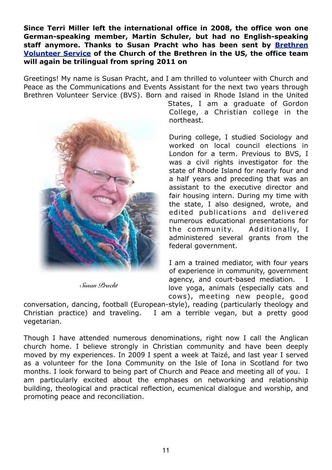**Since Terri Miller left the international office in 2008, the office won one German-speaking member, Martin Schuler, but had no English-speaking staff anymore. Thanks to Susan Pracht who has been sent by [Brethren](http://www.brethren.org/site/PageServer?pagename=bvs) [Volunteer Service](http://www.brethren.org/site/PageServer?pagename=bvs) of the Church of the Brethren in the US, the office team will again be trilingual from spring 2011 on**

Greetings! My name is Susan Pracht, and I am thrilled to volunteer with Church and Peace as the Communications and Events Assistant for the next two years through Brethren Volunteer Service (BVS). Born and raised in Rhode Island in the United



*Susan Pracht*

States, I am a graduate of Gordon College, a Christian college in the northeast.

During college, I studied Sociology and worked on local council elections in London for a term. Previous to BVS, I was a civil rights investigator for the state of Rhode Island for nearly four and a half years and preceding that was an assistant to the executive director and fair housing intern. During my time with the state, I also designed, wrote, and edited publications and delivered numerous educational presentations for the community. Additionally, I administered several grants from the federal government.

I am a trained mediator, with four years of experience in community, government agency, and court-based mediation. I love yoga, animals (especially cats and cows), meeting new people, good

conversation, dancing, football (European-style), reading (particularly theology and Christian practice) and traveling. I am a terrible vegan, but a pretty good vegetarian.

Though I have attended numerous denominations, right now I call the Anglican church home. I believe strongly in Christian community and have been deeply moved by my experiences. In 2009 I spent a week at Taizé, and last year I served as a volunteer for the Iona Community on the Isle of Iona in Scotland for two months. I look forward to being part of Church and Peace and meeting all of you. I am particularly excited about the emphases on networking and relationship building, theological and practical reflection, ecumenical dialogue and worship, and promoting peace and reconciliation.